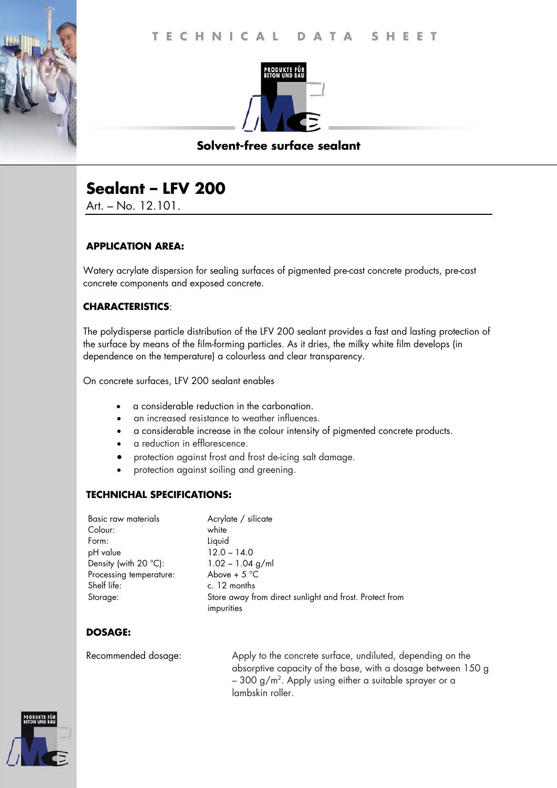

## **Solvent-free surface sealant**

# **Sealant – LFV 200**

Art. – No. 12.101.

## **APPLICATION AREA:**

Watery acrylate dispersion for sealing surfaces of pigmented pre-cast concrete products, pre-cast concrete components and exposed concrete.

## **CHARACTERISTICS**:

The polydisperse particle distribution of the LFV 200 sealant provides a fast and lasting protection of the surface by means of the film-forming particles. As it dries, the milky white film develops (in dependence on the temperature) a colourless and clear transparency.

On concrete surfaces, LFV 200 sealant enables

- a considerable reduction in the carbonation.
- an increased resistance to weather influences.
- a considerable increase in the colour intensity of pigmented concrete products.
- a reduction in efflorescence.
- protection against frost and frost de-icing salt damage.
- protection against soiling and greening.

### **TECHNICHAL SPECIFICATIONS:**

| Basic raw materials            | Acrylate / silicate                                     |
|--------------------------------|---------------------------------------------------------|
| Colour:                        | white                                                   |
| Form:                          | Liquid                                                  |
| pH value                       | $12.0 - 14.0$                                           |
| Density (with $20^{\circ}$ C): | $1.02 - 1.04$ g/ml                                      |
| Processing temperature:        | Above + $5^{\circ}$ C                                   |
| Shelf life:                    | c. 12 months                                            |
| Storage:                       | Store away from direct sunlight and frost. Protect from |
|                                | impurities                                              |

## **DOSAGE:**

Recommended dosage: Apply to the concrete surface, undiluted, depending on the absorptive capacity of the base, with a dosage between 150 g – 300 g/m². Apply using either a suitable sprayer or a $\,$ lambskin roller.